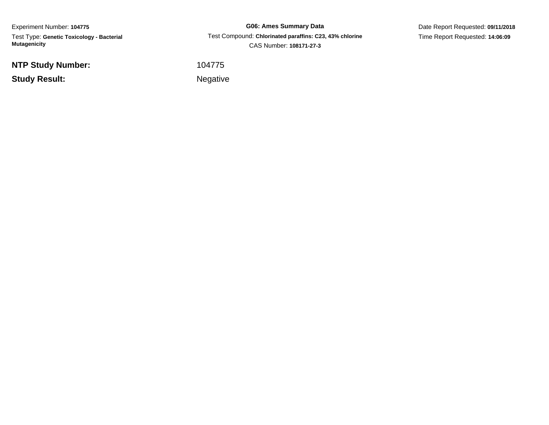Experiment Number: **104775** Test Type: **Genetic Toxicology - Bacterial Mutagenicity**

**NTP Study Number:**

**Study Result:**

**G06: Ames Summary Data** Test Compound: **Chlorinated paraffins: C23, 43% chlorine**CAS Number: **108171-27-3**

Date Report Requested: **09/11/2018**Time Report Requested: **14:06:09**

<sup>104775</sup>

Negative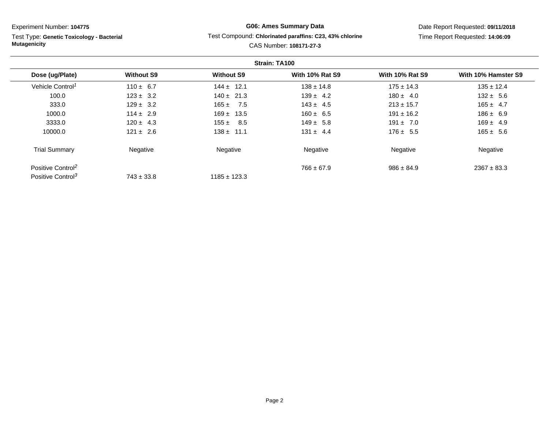Test Type: **Genetic Toxicology - Bacterial Mutagenicity**

# **G06: Ames Summary Data**Test Compound: **Chlorinated paraffins: C23, 43% chlorine**

Date Report Requested: **09/11/2018**Time Report Requested: **14:06:09**

CAS Number: **108171-27-3**

|                               |                   |                   | Strain: TA100          |                        |                     |
|-------------------------------|-------------------|-------------------|------------------------|------------------------|---------------------|
| Dose (ug/Plate)               | <b>Without S9</b> | <b>Without S9</b> | <b>With 10% Rat S9</b> | <b>With 10% Rat S9</b> | With 10% Hamster S9 |
| Vehicle Control <sup>1</sup>  | $110 \pm 6.7$     | $144 \pm 12.1$    | $138 \pm 14.8$         | $175 \pm 14.3$         | $135 \pm 12.4$      |
| 100.0                         | $123 \pm 3.2$     | $140 \pm 21.3$    | $139 \pm 4.2$          | $180 \pm 4.0$          | $132 \pm 5.6$       |
| 333.0                         | $129 \pm 3.2$     | $165 \pm 7.5$     | $143 \pm 4.5$          | $213 \pm 15.7$         | $165 \pm 4.7$       |
| 1000.0                        | $114 \pm 2.9$     | $169 \pm 13.5$    | $160 \pm 6.5$          | $191 \pm 16.2$         | $186 \pm 6.9$       |
| 3333.0                        | $120 \pm 4.3$     | $155 \pm$<br>8.5  | $149 \pm 5.8$          | $191 \pm 7.0$          | $169 \pm 4.9$       |
| 10000.0                       | $121 \pm 2.6$     | $138 \pm 11.1$    | $131 \pm 4.4$          | $176 \pm 5.5$          | $165 \pm 5.6$       |
| <b>Trial Summary</b>          | Negative          | Negative          | Negative               | Negative               | Negative            |
| Positive Control <sup>2</sup> |                   |                   | $766 \pm 67.9$         | $986 \pm 84.9$         | $2367 \pm 83.3$     |
| Positive Control <sup>3</sup> | $743 \pm 33.8$    | $1185 \pm 123.3$  |                        |                        |                     |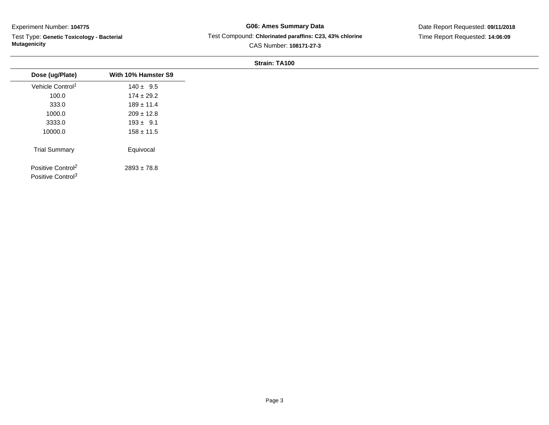$\overline{\phantom{0}}$ 

Test Type: **Genetic Toxicology - Bacterial Mutagenicity**

# **G06: Ames Summary Data** Test Compound: **Chlorinated paraffins: C23, 43% chlorine**CAS Number: **108171-27-3**

Date Report Requested: **09/11/2018**Time Report Requested: **14:06:09**

| Dose (ug/Plate)                                                | With 10% Hamster S9 |
|----------------------------------------------------------------|---------------------|
| Vehicle Control <sup>1</sup>                                   | $140 \pm 9.5$       |
| 100.0                                                          | $174 \pm 29.2$      |
| 333.0                                                          | $189 \pm 11.4$      |
| 1000.0                                                         | $209 \pm 12.8$      |
| 3333.0                                                         | $193 \pm 9.1$       |
| 10000.0                                                        | $158 \pm 11.5$      |
| <b>Trial Summary</b>                                           | Equivocal           |
| Positive Control <sup>2</sup><br>Positive Control <sup>3</sup> | $2893 \pm 78.8$     |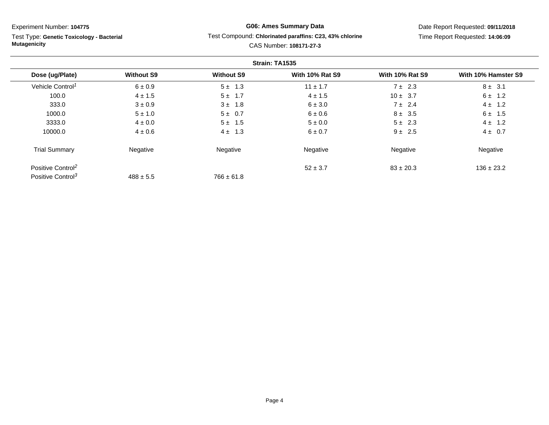Test Type: **Genetic Toxicology - Bacterial Mutagenicity**

# **G06: Ames Summary Data**Test Compound: **Chlorinated paraffins: C23, 43% chlorine**

Date Report Requested: **09/11/2018**Time Report Requested: **14:06:09**

# CAS Number: **108171-27-3**

|                               |                   |                   | Strain: TA1535         |                        |                     |
|-------------------------------|-------------------|-------------------|------------------------|------------------------|---------------------|
| Dose (ug/Plate)               | <b>Without S9</b> | <b>Without S9</b> | <b>With 10% Rat S9</b> | <b>With 10% Rat S9</b> | With 10% Hamster S9 |
| Vehicle Control <sup>1</sup>  | $6 \pm 0.9$       | $5 \pm 1.3$       | $11 \pm 1.7$           | $7 \pm 2.3$            | $8 \pm 3.1$         |
| 100.0                         | $4 \pm 1.5$       | $5 \pm 1.7$       | $4 \pm 1.5$            | $10 \pm 3.7$           | $6 \pm 1.2$         |
| 333.0                         | $3 \pm 0.9$       | $3 \pm 1.8$       | 6 ± 3.0                | $7 \pm 2.4$            | $4 \pm 1.2$         |
| 1000.0                        | $5 \pm 1.0$       | $5 \pm 0.7$       | $6 \pm 0.6$            | $8 \pm 3.5$            | $6 \pm 1.5$         |
| 3333.0                        | $4 \pm 0.0$       | $5 \pm 1.5$       | $5 \pm 0.0$            | $5 \pm 2.3$            | $4 \pm 1.2$         |
| 10000.0                       | $4 \pm 0.6$       | $4 \pm 1.3$       | $6 \pm 0.7$            | $9 \pm 2.5$            | $4 \pm 0.7$         |
| <b>Trial Summary</b>          | Negative          | Negative          | Negative               | Negative               | Negative            |
| Positive Control <sup>2</sup> |                   |                   | $52 \pm 3.7$           | $83 \pm 20.3$          | $136 \pm 23.2$      |
| Positive Control <sup>3</sup> | $488 \pm 5.5$     | $766 \pm 61.8$    |                        |                        |                     |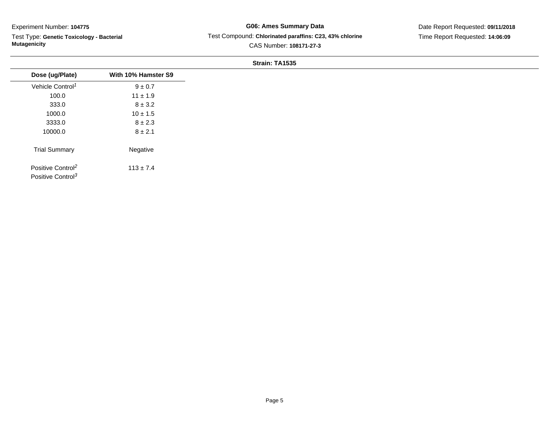Test Type: **Genetic Toxicology - Bacterial Mutagenicity**

**G06: Ames Summary Data** Test Compound: **Chlorinated paraffins: C23, 43% chlorine**CAS Number: **108171-27-3**

Date Report Requested: **09/11/2018**Time Report Requested: **14:06:09**

| Dose (ug/Plate)                                                | With 10% Hamster S9 |
|----------------------------------------------------------------|---------------------|
| Vehicle Control <sup>1</sup>                                   | $9\pm0.7$           |
| 100.0                                                          | $11 \pm 1.9$        |
| 333.0                                                          | $8 \pm 3.2$         |
| 1000.0                                                         | $10 \pm 1.5$        |
| 3333.0                                                         | $8 \pm 2.3$         |
| 10000.0                                                        | $8 \pm 2.1$         |
| <b>Trial Summary</b>                                           | Negative            |
| Positive Control <sup>2</sup><br>Positive Control <sup>3</sup> | $113 \pm 7.4$       |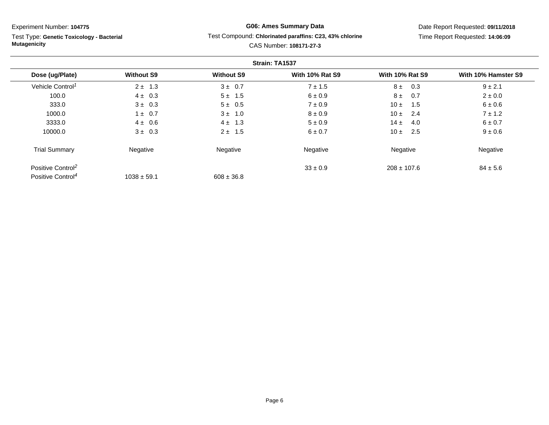Test Type: **Genetic Toxicology - Bacterial Mutagenicity**

# **G06: Ames Summary Data**Test Compound: **Chlorinated paraffins: C23, 43% chlorine**

Date Report Requested: **09/11/2018**Time Report Requested: **14:06:09**

# CAS Number: **108171-27-3**

| Strain: TA1537                |                   |                   |                        |                        |                     |
|-------------------------------|-------------------|-------------------|------------------------|------------------------|---------------------|
| Dose (ug/Plate)               | <b>Without S9</b> | <b>Without S9</b> | <b>With 10% Rat S9</b> | <b>With 10% Rat S9</b> | With 10% Hamster S9 |
| Vehicle Control <sup>1</sup>  | $2 \pm 1.3$       | $3 \pm 0.7$       | $7 \pm 1.5$            | $8 \pm$<br>0.3         | $9 \pm 2.1$         |
| 100.0                         | $4 \pm 0.3$       | $5 \pm 1.5$       | 6 ± 0.9                | $8 \pm$<br>0.7         | $2 \pm 0.0$         |
| 333.0                         | $3 \pm 0.3$       | $5 \pm 0.5$       | $7 \pm 0.9$            | 10 $\pm$<br>1.5        | $6 \pm 0.6$         |
| 1000.0                        | $1 \pm 0.7$       | $3 \pm 1.0$       | $8 \pm 0.9$            | 10±<br>2.4             | $7 \pm 1.2$         |
| 3333.0                        | $4 \pm 0.6$       | $4 \pm 1.3$       | $5 \pm 0.9$            | $14 \pm$<br>4.0        | $6 \pm 0.7$         |
| 10000.0                       | $3 \pm 0.3$       | $2 \pm 1.5$       | $6 \pm 0.7$            | 2.5<br>10±             | $9 \pm 0.6$         |
| <b>Trial Summary</b>          | Negative          | Negative          | Negative               | Negative               | Negative            |
| Positive Control <sup>2</sup> |                   |                   | $33 \pm 0.9$           | $208 \pm 107.6$        | $84 \pm 5.6$        |
| Positive Control <sup>4</sup> | $1038 \pm 59.1$   | $608 \pm 36.8$    |                        |                        |                     |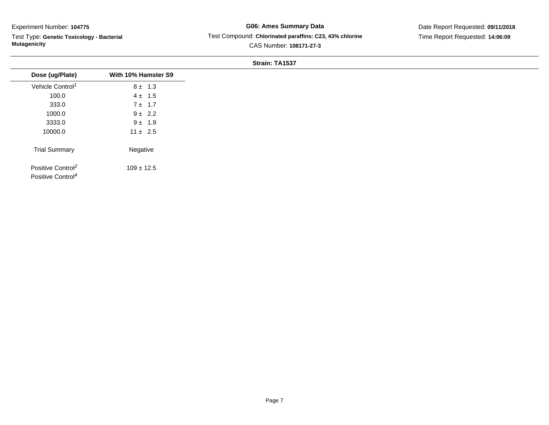Test Type: **Genetic Toxicology - Bacterial Mutagenicity**

**G06: Ames Summary Data** Test Compound: **Chlorinated paraffins: C23, 43% chlorine**CAS Number: **108171-27-3**

Date Report Requested: **09/11/2018**Time Report Requested: **14:06:09**

| Dose (ug/Plate)                                                | With 10% Hamster S9 |
|----------------------------------------------------------------|---------------------|
| Vehicle Control <sup>1</sup>                                   | $8 \pm 1.3$         |
| 100.0                                                          | $4 \pm 1.5$         |
| 333.0                                                          | $7 \pm 1.7$         |
| 1000.0                                                         | $9 \pm 2.2$         |
| 3333.0                                                         | $9 \pm 1.9$         |
| 10000.0                                                        | $11 \pm 2.5$        |
| <b>Trial Summary</b>                                           | Negative            |
| Positive Control <sup>2</sup><br>Positive Control <sup>4</sup> | $109 \pm 12.5$      |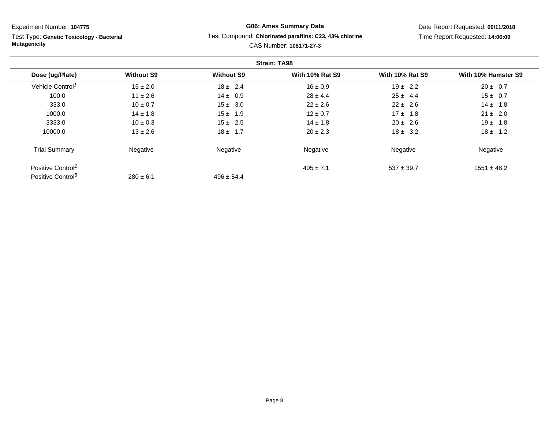Test Type: **Genetic Toxicology - BacterialMutagenicity**

# **G06: Ames Summary Data**Test Compound: **Chlorinated paraffins: C23, 43% chlorine**

CAS Number: **108171-27-3**

Date Report Requested: **09/11/2018**Time Report Requested: **14:06:09**

#### **Strain: TA98Dose (ug/Plate) Without S9 Without S9 With 10% Rat S9 With 10% Rat S9 With 10% Hamster S9** Vehicle Control<sup>1</sup>  $15 \pm 2.0$ 0  $18 \pm 2.4$   $16 \pm 0.9$   $19 \pm 2.2$   $20 \pm 0.7$ 100.00 11 ± 2.6 14 ± 0.9 28 ± 4.4 25 ± 4.4 15 ± 0.7 333.00 10 ± 0.7 15 ± 3.0 22 ± 2.6 22 ± 2.6 22 ± 2.6 14 ± 1.8 1000.00 14 ± 1.8 15 ± 1.9 12 ± 0.7 17 ± 1.8 21 ± 2.0 3333.00 10 ± 0.3 15 ± 2.5 14 ± 1.8 20 ± 2.6 19 ± 1.8 10000.00  $13 \pm 2.6$   $18 \pm 1.7$   $20 \pm 2.3$   $18 \pm 3.2$   $18 \pm 1.2$ Trial Summary Negativee **Negative Regative** Negative Negative Negative Regative Negative Positive Control<sup>2</sup>  $405 \pm 7.1$  $537 \pm 39.7$  1551  $\pm 48.2$ Positive Control<sup>5</sup>  $280 \pm 6.1$  $496 \pm 54.4$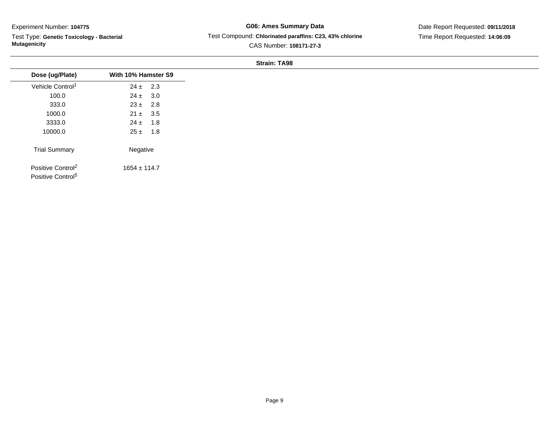Test Type: **Genetic Toxicology - Bacterial Mutagenicity**

**G06: Ames Summary Data** Test Compound: **Chlorinated paraffins: C23, 43% chlorine**CAS Number: **108171-27-3**

Date Report Requested: **09/11/2018**Time Report Requested: **14:06:09**

| Dose (ug/Plate)               | With 10% Hamster S9 |  |
|-------------------------------|---------------------|--|
| Vehicle Control <sup>1</sup>  | $24 \pm 2.3$        |  |
| 100.0                         | $24 \pm 3.0$        |  |
| 333.0                         | $23 \pm 2.8$        |  |
| 1000.0                        | $21 \pm 3.5$        |  |
| 3333.0                        | $24 \pm 1.8$        |  |
| 10000.0                       | $25 \pm 1.8$        |  |
| <b>Trial Summary</b>          | Negative            |  |
| Positive Control <sup>2</sup> | $1654 \pm 114.7$    |  |
| Positive Control <sup>5</sup> |                     |  |
|                               |                     |  |